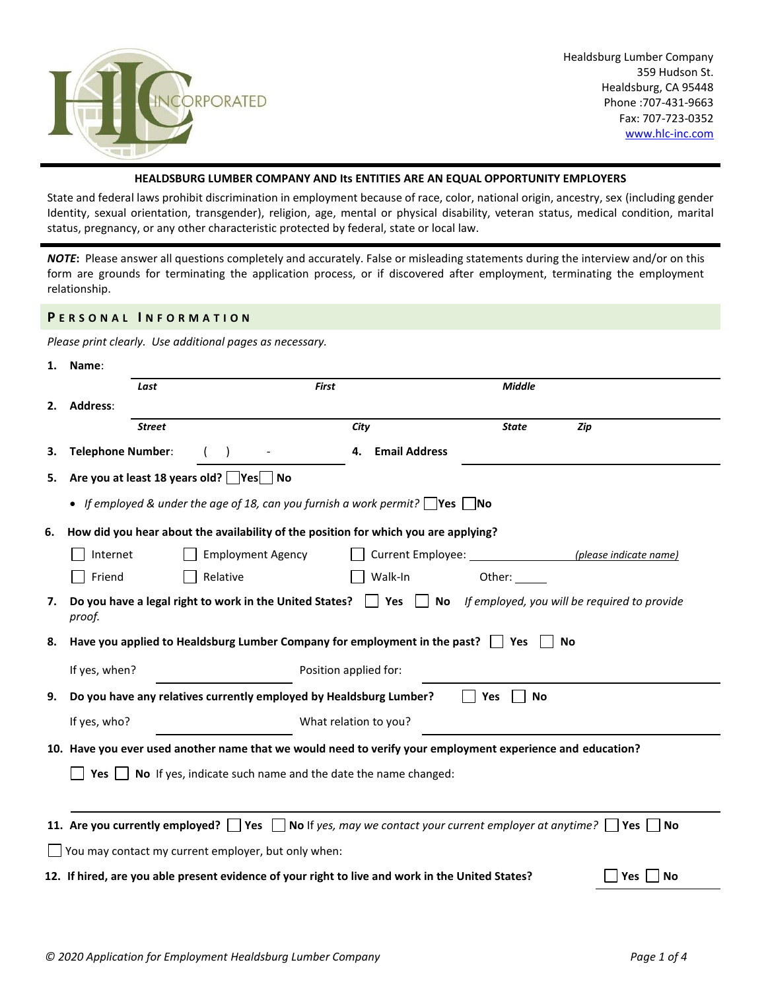

## **HEALDSBURG LUMBER COMPANY AND Its ENTITIES ARE AN EQUAL OPPORTUNITY EMPLOYERS**

State and federal laws prohibit discrimination in employment because of race, color, national origin, ancestry, sex (including gender Identity, sexual orientation, transgender), religion, age, mental or physical disability, veteran status, medical condition, marital status, pregnancy, or any other characteristic protected by federal, state or local law.

*NOTE***:** Please answer all questions completely and accurately. False or misleading statements during the interview and/or on this form are grounds for terminating the application process, or if discovered after employment, terminating the employment relationship.

#### **P E R S O N A L I N F O R M A T I O N**

*Please print clearly. Use additional pages as necessary.*

| 1. | Name:                                                               |                                                                                                  |                            |                                                                                                                             |    |  |  |  |
|----|---------------------------------------------------------------------|--------------------------------------------------------------------------------------------------|----------------------------|-----------------------------------------------------------------------------------------------------------------------------|----|--|--|--|
|    | Last                                                                |                                                                                                  | First                      | <b>Middle</b>                                                                                                               |    |  |  |  |
| 2. | Address:                                                            |                                                                                                  |                            |                                                                                                                             |    |  |  |  |
|    | <b>Street</b>                                                       |                                                                                                  | City                       | <b>State</b><br>Zip                                                                                                         |    |  |  |  |
| З. | <b>Telephone Number:</b>                                            |                                                                                                  | <b>Email Address</b><br>4. |                                                                                                                             |    |  |  |  |
| 5. |                                                                     | Are you at least 18 years old? Yes No                                                            |                            |                                                                                                                             |    |  |  |  |
|    |                                                                     | • If employed & under the age of 18, can you furnish a work permit?   Yes   No                   |                            |                                                                                                                             |    |  |  |  |
| 6. |                                                                     | How did you hear about the availability of the position for which you are applying?              |                            |                                                                                                                             |    |  |  |  |
|    | Internet                                                            | <b>Employment Agency</b>                                                                         |                            |                                                                                                                             |    |  |  |  |
|    | Friend                                                              | Relative                                                                                         | Walk-In                    | Other:                                                                                                                      |    |  |  |  |
| 7. | proof.                                                              | Do you have a legal right to work in the United States?   Yes                                    |                            | No If employed, you will be required to provide                                                                             |    |  |  |  |
| 8. |                                                                     | Have you applied to Healdsburg Lumber Company for employment in the past?   Yes                  |                            | No                                                                                                                          |    |  |  |  |
|    | If yes, when?                                                       |                                                                                                  | Position applied for:      |                                                                                                                             |    |  |  |  |
| 9. |                                                                     | Do you have any relatives currently employed by Healdsburg Lumber?                               |                            | <b>No</b><br>Yes                                                                                                            |    |  |  |  |
|    | If yes, who?                                                        |                                                                                                  | What relation to you?      |                                                                                                                             |    |  |  |  |
|    |                                                                     |                                                                                                  |                            | 10. Have you ever used another name that we would need to verify your employment experience and education?                  |    |  |  |  |
|    | No If yes, indicate such name and the date the name changed:<br>Yes |                                                                                                  |                            |                                                                                                                             |    |  |  |  |
|    |                                                                     |                                                                                                  |                            |                                                                                                                             |    |  |  |  |
|    |                                                                     |                                                                                                  |                            | 11. Are you currently employed? $\Box$ Yes $\Box$ No If yes, may we contact your current employer at anytime?<br>Yes     No |    |  |  |  |
|    |                                                                     | You may contact my current employer, but only when:                                              |                            |                                                                                                                             |    |  |  |  |
|    |                                                                     | 12. If hired, are you able present evidence of your right to live and work in the United States? |                            | Yes                                                                                                                         | No |  |  |  |
|    |                                                                     |                                                                                                  |                            |                                                                                                                             |    |  |  |  |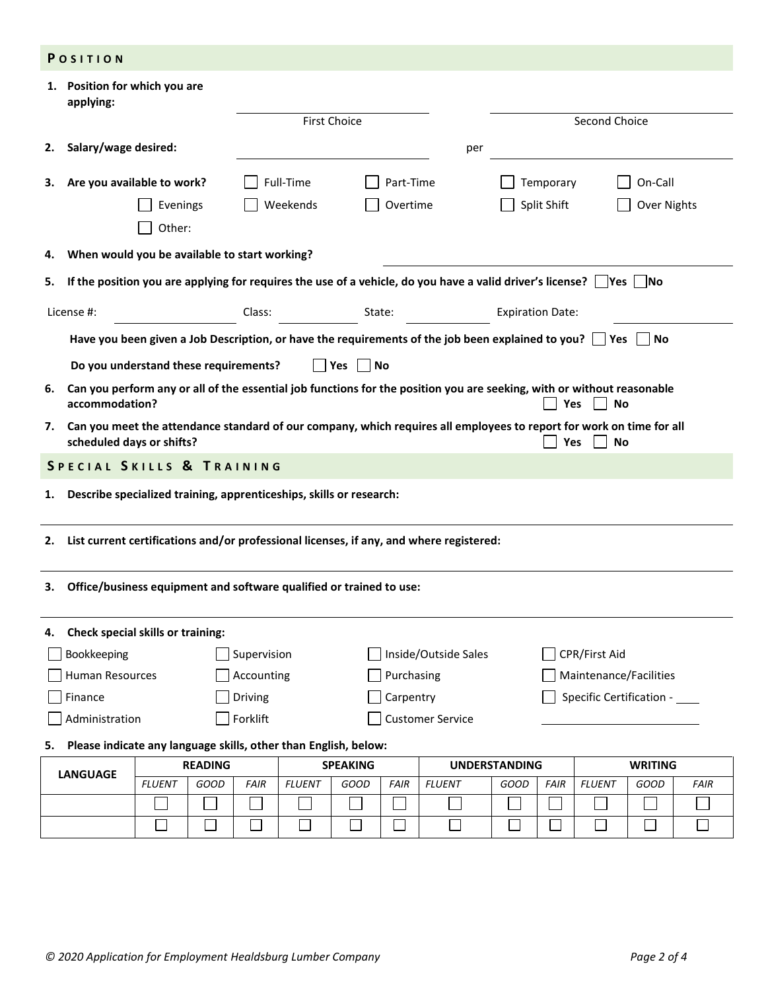|    | POSITION                                                                                   |                |                |                 |               |                     |             |                                                                                                                                |                         |                |               |                |             |
|----|--------------------------------------------------------------------------------------------|----------------|----------------|-----------------|---------------|---------------------|-------------|--------------------------------------------------------------------------------------------------------------------------------|-------------------------|----------------|---------------|----------------|-------------|
|    | 1. Position for which you are<br>applying:                                                 |                |                |                 |               |                     |             |                                                                                                                                |                         |                |               |                |             |
|    |                                                                                            |                |                |                 |               | <b>First Choice</b> |             |                                                                                                                                |                         |                | Second Choice |                |             |
| 2. | Salary/wage desired:                                                                       |                |                |                 |               |                     |             | per                                                                                                                            |                         |                |               |                |             |
| З. | Are you available to work?                                                                 |                |                |                 | Full-Time     |                     | Part-Time   |                                                                                                                                |                         | Temporary      |               | On-Call        |             |
|    |                                                                                            | Evenings       |                |                 | Weekends      |                     | Overtime    |                                                                                                                                |                         | Split Shift    |               | Over Nights    |             |
|    |                                                                                            | Other:         |                |                 |               |                     |             |                                                                                                                                |                         |                |               |                |             |
| 4. | When would you be available to start working?                                              |                |                |                 |               |                     |             |                                                                                                                                |                         |                |               |                |             |
| 5. |                                                                                            |                |                |                 |               |                     |             | If the position you are applying for requires the use of a vehicle, do you have a valid driver's license? $\Box$ Yes $\Box$ No |                         |                |               |                |             |
|    | License #:                                                                                 |                |                | Class:          |               | State:              |             |                                                                                                                                | <b>Expiration Date:</b> |                |               |                |             |
|    |                                                                                            |                |                |                 |               |                     |             | Have you been given a Job Description, or have the requirements of the job been explained to you? $\Box$ Yes $\Box$ No         |                         |                |               |                |             |
|    | Do you understand these requirements?                                                      |                |                |                 |               | Yes<br>  No         |             |                                                                                                                                |                         |                |               |                |             |
| 6. | accommodation?                                                                             |                |                |                 |               |                     |             | Can you perform any or all of the essential job functions for the position you are seeking, with or without reasonable         |                         |                | Yes<br>No     |                |             |
| 7. | scheduled days or shifts?                                                                  |                |                |                 |               |                     |             | Can you meet the attendance standard of our company, which requires all employees to report for work on time for all           |                         | Yes            | <b>No</b>     |                |             |
|    | SPECIAL SKILLS & TRAINING                                                                  |                |                |                 |               |                     |             |                                                                                                                                |                         |                |               |                |             |
| 1. | Describe specialized training, apprenticeships, skills or research:                        |                |                |                 |               |                     |             |                                                                                                                                |                         |                |               |                |             |
|    |                                                                                            |                |                |                 |               |                     |             |                                                                                                                                |                         |                |               |                |             |
|    | 2. List current certifications and/or professional licenses, if any, and where registered: |                |                |                 |               |                     |             |                                                                                                                                |                         |                |               |                |             |
| з. | Office/business equipment and software qualified or trained to use:                        |                |                |                 |               |                     |             |                                                                                                                                |                         |                |               |                |             |
|    |                                                                                            |                |                |                 |               |                     |             |                                                                                                                                |                         |                |               |                |             |
| 4. | Check special skills or training:                                                          |                |                |                 |               |                     |             |                                                                                                                                |                         |                |               |                |             |
|    | Supervision<br>Inside/Outside Sales<br>CPR/First Aid<br>Bookkeeping                        |                |                |                 |               |                     |             |                                                                                                                                |                         |                |               |                |             |
|    | <b>Human Resources</b><br>Accounting<br>Purchasing<br>Maintenance/Facilities               |                |                |                 |               |                     |             |                                                                                                                                |                         |                |               |                |             |
|    | Driving<br>Carpentry<br>Specific Certification -<br>Finance                                |                |                |                 |               |                     |             |                                                                                                                                |                         |                |               |                |             |
|    | Administration                                                                             |                |                | Forklift        |               |                     |             | <b>Customer Service</b>                                                                                                        |                         |                |               |                |             |
| 5. | Please indicate any language skills, other than English, below:                            |                |                |                 |               |                     |             |                                                                                                                                |                         |                |               |                |             |
|    | <b>LANGUAGE</b>                                                                            |                | <b>READING</b> | <b>SPEAKING</b> |               |                     |             | <b>UNDERSTANDING</b>                                                                                                           |                         |                |               | <b>WRITING</b> |             |
|    |                                                                                            | <b>FLUENT</b>  | GOOD           | <b>FAIR</b>     | <b>FLUENT</b> | GOOD                | <b>FAIR</b> | <b>FLUENT</b>                                                                                                                  | <b>GOOD</b>             | <b>FAIR</b>    | <b>FLUENT</b> | GOOD           | <b>FAIR</b> |
|    |                                                                                            |                |                |                 |               |                     |             |                                                                                                                                |                         |                |               |                |             |
|    |                                                                                            | $\mathbb{R}^n$ | $\mathbb{R}^2$ | $\sim$          | k.            | $\Box$              |             |                                                                                                                                |                         | $\mathbb{R}^n$ | $\mathbf{I}$  | $\Box$         | $\Box$      |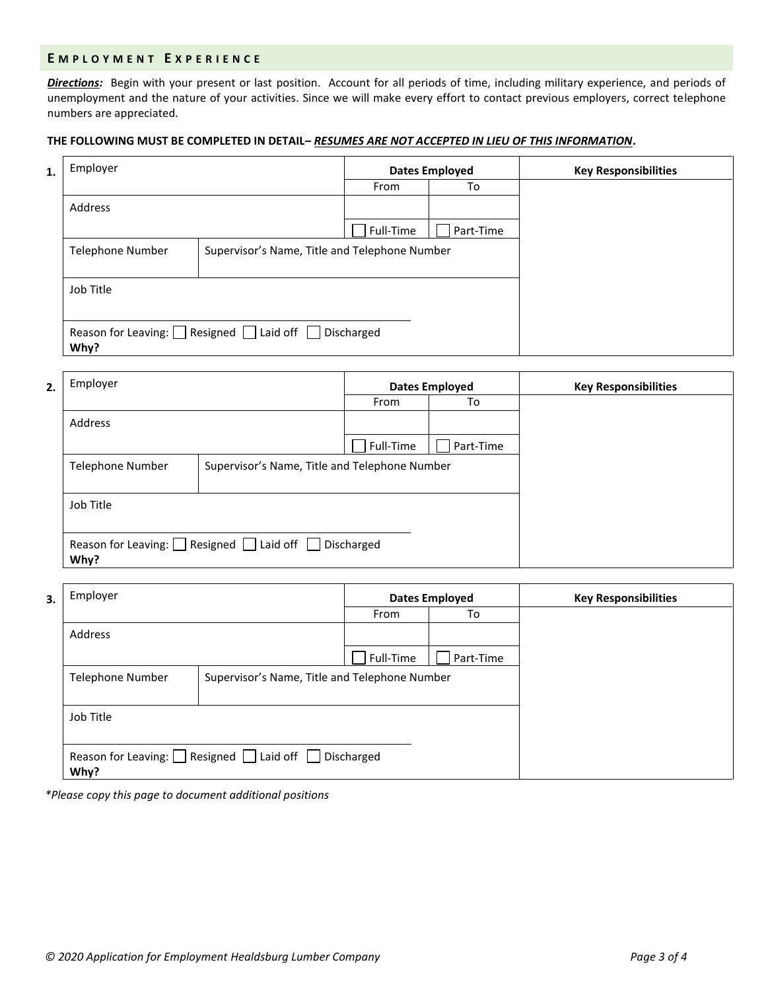### **E M P L O Y M E N T E X P E R I E N C E**

*Directions:* Begin with your present or last position. Account for all periods of time, including military experience, and periods of unemployment and the nature of your activities. Since we will make every effort to contact previous employers, correct telephone numbers are appreciated.

# **THE FOLLOWING MUST BE COMPLETED IN DETAIL–** *RESUMES ARE NOT ACCEPTED IN LIEU OF THIS INFORMATION***.**

| 1. | Employer         | <b>Dates Employed</b>                            |           | <b>Key Responsibilities</b> |  |
|----|------------------|--------------------------------------------------|-----------|-----------------------------|--|
|    |                  |                                                  | From      | To                          |  |
|    | Address          |                                                  |           |                             |  |
|    |                  |                                                  | Full-Time | Part-Time                   |  |
|    | Telephone Number | Supervisor's Name, Title and Telephone Number    |           |                             |  |
|    | Job Title        |                                                  |           |                             |  |
|    | Why?             | Reason for Leaving: Resigned Laid off Discharged |           |                             |  |

| 2. | Employer         |                                                    | <b>Dates Employed</b> | <b>Key Responsibilities</b> |  |
|----|------------------|----------------------------------------------------|-----------------------|-----------------------------|--|
|    |                  |                                                    | From                  | To                          |  |
|    | Address          |                                                    |                       |                             |  |
|    |                  |                                                    | Full-Time             | Part-Time                   |  |
|    | Telephone Number | Supervisor's Name, Title and Telephone Number      |                       |                             |  |
|    | Job Title        |                                                    |                       |                             |  |
|    | Why?             | Reason for Leaving: Resigned I Laid off Discharged |                       |                             |  |

| 3. | Employer         |                                                  | <b>Dates Employed</b> | <b>Key Responsibilities</b> |  |
|----|------------------|--------------------------------------------------|-----------------------|-----------------------------|--|
|    |                  |                                                  | From                  | To                          |  |
|    | Address          |                                                  |                       |                             |  |
|    |                  |                                                  | Full-Time             | Part-Time                   |  |
|    | Telephone Number | Supervisor's Name, Title and Telephone Number    |                       |                             |  |
|    | Job Title        |                                                  |                       |                             |  |
|    | Why?             | Reason for Leaving: Resigned Laid off Discharged |                       |                             |  |

*\*Please copy this page to document additional positions*